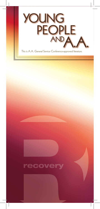



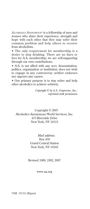*Alcoholics Anonymous®* is a fellowship of men and women who share their experience, strength and hope with each other that they may solve their common problem and help others to recover from alcoholism.

• The only requirement for membership is a desire to stop drinking. There are no dues or fees for A.A. membership; we are self-supporting through our own contributions.

• A.A. is not allied with any sect, denomination, politics, organization or institution; does not wish to engage in any controversy; neither endorses nor opposes any causes.

• Our primary purpose is to stay sober and help other alcoholics to achieve sobriety.

> *Copyright © by A.A. Grapevine, Inc.; reprinted with permission*

Copyright © 2007 Alcoholics Anonymous World Services, Inc. 475 Riverside Drive New York, NY 10115

> *Mail address:*  Box 459 Grand Central Station New York, NY 10163

Revised 1989, 1992, 2007

www.aa.org

75M - 07/15 (Ripon)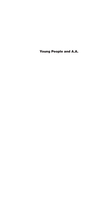Young People and A.A.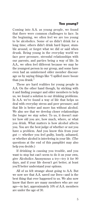### Too young?

Coming into A.A. as young people, we found that there were common challenges to face. In the beginning, we often feel we are too young to be alcoholics. Some of us didn't drink for a long time; others didn't drink hard liquor, stumble around, or forget what we did or said when drunk. Being young in the everyday world we face peer pressure, stressful relationships with our parents, and parties being a way of life. In A.A., we often feel different because we may be the youngest person in our group, and some have even had an uninformed older member discourage us by saying things like "I spilled more booze than you drank."

These are hard realities for young people in A.A. On the other hand though, by sticking with it and finding younger and older members to help us, we found a solution to our drinking problems. In A.A. we've found a way of life that helps us deal with everyday stress and peer pressure; and that life is better and more fun without alcohol. We also see that we develop closer relationships the longer we stay sober. To us, it doesn't matter how old you are, how much, where, or what you drink. What matters is how alcohol affects you. You are the best judge of whether or not you have a problem. And you know this from your gut — whether you feel guilty, lonely, ashamed, or whether alcohol is interfering in your life. (The questions at the end of this pamphlet may also help you decide.)

If drinking is causing you trouble, and you want to stop but can't seem to do it on your own, give Alcoholics Anonymous a try—try it for 90 days, and if your life doesn't get better, at least you'll better understand your options.

All of us felt strange about going to A.A. But we now see that A.A. saved our lives—and is the best thing that ever happened to us. We also now know that there are many members who are our age—in fact, approximately 10% of A.A. members are under the age of 30.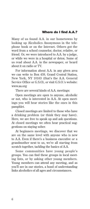#### Where do I find A.A.?

Many of us found A.A. in our hometowns by looking up Alcoholics Anonymous in the telephone book or on the Internet. Others got the word from a school counselor, doctor, relative, or friend. Or, we were introduced to A.A. by a judge, or while we were in a hospital or detox. Some of us read about A.A. in the newspaper, or heard about it on radio or TV.

For information about A.A. in any given area we can write to Box 459, Grand Central Station, New York, NY 10163 (that's the A.A. General Service Office or G.S.O), or visit G.S.O.'s website: www.aa.org

There are several kinds of A.A. meetings:

Open meetings are open to anyone, alcoholic or not, who is interested in A.A. At open meetings you will hear stories like the ones in this pamphlet.

Closed meetings are limited to those who have a drinking problem (or think they may have). Here, we are free to speak up and ask questions. At closed meetings we often hear practical suggestions on staying sober.

At beginners meetings, we discover that we are on the same level with anyone who is new to A.A. Even if there's a business executive or a grandmother next to us, we're all starting from scratch together, tackling the basics of A.A.

Some communities have young people's groups. You can find these groups in local meeting lists, or by asking other young members. Young members can attend any meeting, and as you'll see in our stories, a bond of understanding links alcoholics of all ages and circumstances.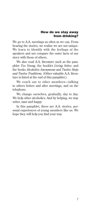#### How do we stay away from drinking?

We go to A.A. meetings as often as we can. From hearing the stories, we realize we are not unique. We learn to identify with the feelings of the speakers and not compare the outer facts of our story with those of others.

We also read A.A. literature such as the pamphlet *Too Young,* the booklet *Living Sober*, and the books *Alcoholics Anonymous* and *Twelve Steps and Twelve Traditions.* (Other valuable A.A. literature is listed at the end of this pamphlet.)

We reach out to other members—talking to others before and after meetings, and on the telephone.

We change ourselves, gradually, day to day. We help other alcoholics. And by helping, we stay sober, sane and happy.

In this pamphlet, there are A.A. stories, personal experiences of young members like us. We hope they will help you find your way.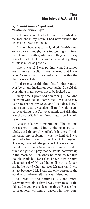#### *"If I could have stayed cool, I'd still be drinking."*

I loved how alcohol affected me. It numbed all the torment in my brain. I had new friends, the older kids. I was coolfinally!

If I could have stayed cool, I'd still be drinking. Very quickly, though, I started getting into trouble. Going to sixth grade was getting in the way of my life, which at this point consisted of getting drunk as much as possible.

When I was 11, I was put into what I assumed was a mental hospital. I was relieved that I was crazy. Crazy is cool. I realized much later that the place was a rehab.

I did resolve at this time that I didn't want to ever be in any institution ever again. I would do everything in my power not to be locked up.

Every time I promised something, I couldn't follow up with action. Sometimes I was sincerely going to change my ways, and I couldn't. Now I understand that it was alcoholism. I would promise everything, but I'd never admit that drinking was the culprit. If I admitted that, then I would have to stop.

I was in a bunch of institutions. The last one was a group home. I had a choice to go to a rehab, but I thought I wouldn't fit in there (drinking wasn't my problem; it was my family). I was terrified when I went to my first A.A. meeting. However, I was told the guys in A.A. were cute, so I went. The speaker talked about how he used to drink at night and pray that he would not wake up in the morning. Then when he came to, his first thought would be, "Dear God, I have to go through this another day." He said he felt like the only person in the world who had ever felt that way. I was aghast because I felt I was the only person in the world who had ever felt that way. I identified.

So I was 13 and going to A.A. meetings. Everyone was older than I was, even most of the kids at the young people's meetings. But alcoholics in general will find a reason why they don't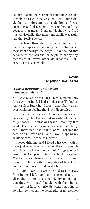belong. It could be religion, it could be class, and it could be race. Mine was age. But I found that alcoholics understand other alcoholics. It was upsetting to find alcoholics who understood me, because that meant I was an alcoholic. And if I was an alcoholic, that meant my family was right, and that really sucked.

I was taken through the Steps, and found I had the same experience as everyone else had when they went through the Steps. I have found that because of the spiritual principle of anonymity, regardless of how young or old or "special" I am, in A.A., I'm just a drunk.

#### Kevin He joined A.A. at 14

#### *"I loved drinking, and I loved what went with it."*

My life was, for the most part, perfect up until my first day of school. I had no idea that life had so many rules. But what I most remember was an overwhelming feeling that I just did not fit in.

I have had two overwhelming spiritual experiences in my life. The second was when I decided to get sober. The first was when I took my first drink. There was this substance inside my body, and I knew that I had to find more. That was the best drink I ever had—and I would spend my drinking career trying to recreate it.

I loved drinking, and I loved what went with it. I was just as addicted to the lies, the shady people and places as I was the alcohol. My grades suffered until I stopped going to school altogether. My friends and family began to scatter. I found myself in places without any idea of how I had gotten there. I overdosed on alcohol.

At some point, I even decided to run away from home. I left home and proceeded to burn all of the bridges that I could. My family said that they were much happier with their house with me not in it. My friends wanted nothing to do with me. I spent the remainder of my alcohol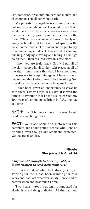ism homeless, breaking into cars for money, and sleeping on a small bench in a park.

My parents managed to track me down and got me to a rehab. When I was informed that I would be in that place for a two-week evaluation, I screamed at my parents and stormed out of the room. When it became obvious I was probably not going to be allowed to leave, I collapsed on the couch in the middle of the room and began to cry. I had met complete defeat. I was tired of running, ducking, dodging, crawling and hiding. I could go no further. I then realized I was in a safe place.

When you are truly ready, God will put all of the right people in all of the right places at all of the right times. Since that day, I have not found it necessary to tempt fate again. I have come to understand that to do so would be like asking God to realign the planets one more time just for me.

I have been given an opportunity to grow up with these Twelve Steps in my life. It is with the utmost of gratitude that I have just celebrated my 19th year of continuous sobriety in A.A., one day at a time.

MYTH: I can't be an alcoholic, because I can't drink too much. I get sick.

**FACT:** You'll see some of our stories in this pamphlet are about young people who kept on drinking even though our stomachs protested. We too are alcoholics.

#### Nicole She joined A.A. at 14

#### *"Anyone old enough to have a problem is old enough to seek help from A.A."*

At 12 years old, alcohol had already stopped working for me. I had been drinking for four years and had lost whatever ability I once had to control when and how much I drank.

Two years, later I was institutionalized for alcoholism and drug addiction. All the pain and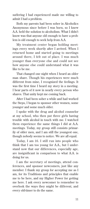suffering I had experienced made me willing to admit I had a problem.

Both my parents had been sober in Alcoholics Anonymous since before I was born, so I knew A.A. held the solution to alcoholism. What I didn't know was that anyone old enough to have a problem is old enough to seek help from A.A.

My treatment center began holding meetings every week shortly after I arrived. When I returned home and started going to meetings around there, I felt out of place. I was much younger than everyone else and could not see how anyone else could understand what it was like to be me.

That changed one night when I heard an older man share. Though his experiences were much different from mine, I recognized the feelings. It was the first time I heard my story in a meeting. I hear parts of it now in nearly every person who shares. That unity kept me coming back.

After I had been sober a while and had worked the Steps, I began to sponsor other women, some younger and some much older.

I spoke with the drug and alcohol counselor at my school, who then put three girls having trouble with alcohol in touch with me. I watched them experience the same things I did at A.A. meetings. Today, my group still consists primarily of older men, and I am still the youngest one, though nobody seems to notice. We are all equal.

Today, I am 16. I still run into people who think that I am too young for A.A., but I understand now that our differences, especially age, are insignificant in comparison to what A.A. is doing for us.

I am the secretary of meetings, attend conferences, and sponsor newcomers, just like any member. I thank my group for accepting me as I am, for its Traditions and principles that enable me to be here, and my Higher Power for getting me here. I ask every newcomer to remember to overlook the ways they might be different, and every old-timer to do the same.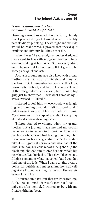#### *"I didn't know how to stop, or what I would do if I did."*

Drinking caused so much trouble in my family that I promised myself I would never drink. My parents didn't get along. They'd fight and we kids would be real scared. I prayed that they'd quit drinking and fighting, but they never did.

When I was 11 years old, my mother died, and I was sent to live with my grandmother. There was no drinking at her house. She was very strict and religious, but I didn't mind. It felt good to be someplace quiet and safe.

A cousin around my age also lived with grandmother. She had a lot of friends and they let me hang out. I remember we were at this kid's house, after school, and he took a six-pack out of the refrigerator. I was scared, but I took a big gulp just to show that I knew what I was doing. I was surprised — I liked it.

I started to feel high — everybody was laughing and dancing around. I felt so good, and I didn't even know that I felt bad before I drank. My cousin and I then spent just about every day at that kid's house drinking beer.

Things started to change when my grandmother got a job and made me and my cousin come home after school to baby-sit our little cousins. For a whole year I had been getting high, but there was no beer at grandmother's. I couldn't take it — I got real nervous and was mad at the kids. One day, my cousin saw a neighbor up the block and she got him to give her this whole big beer bottle. We finished it. That day I blacked-out. I didn't remember what happened, but I couldn't find one of the kids. When I came to, there was a police car outside and my grandmother was yelling at me for not watching my cousin. He was six years old and lost.

He turned up okay, but that really scared me. It also got me mad—it wasn't fair that I had to baby-sit after school. I wanted to be with my friends, drinking beer.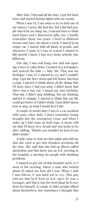After that, I felt mad all the time. I got left back twice and started having fights with my cousin.

When I was 13, I ran away to try to find one of my sisters. I never did find her, but I did find people who'd let me hang out. I learned how to drink hard liquor and I discovered pills, too. I hardly remember those two years. I lived in different houses and once, for about a week, I stayed in an empty car. I stayed with all kinds of people, and whenever I came to I was so scared I wanted to kill myself. I know I was very lucky nobody else killed me.

One day, I was real hung over and was opening a beer to calm down. I looked at a newspaper, and noticed the date — May 5th. That was my birthday: I was 15. I started to cry and I couldn't stop. I got the beer down and felt better, but kept crying. I started to think about all the things that I'd done since I had run away. I didn't know that there was a way out. I forgot my own birthday. That day, I didn't stop drinking, but my thinking started to change. I started to think that my life could get better if I didn't drink. I just didn't know how to stop, or what I would do if I did.

A couple of weeks later I was in a car accident with some other kids. I don't remember being brought into the emergency room, and when I woke up I had casts on both legs. A nurse told me that I'd been very drunk and was lucky to be alive, adding, "Maybe you wouldn't be here if you didn't drink."

A lady came to visit me that night and told me that she used to get into drunken accidents all the time. She said that she had an illness called alcoholism and that there was an A.A. meeting in the hospital, a meeting for people with drinking problems.

I wanted to get out of that hospital ward, so I went to the meeting, where a man who looked about 30 asked me how old I was. When I said I was fifteen, it was hard not to cry. This guy told me that he'd been in A.A. since he was a teenager, and that it was the best thing he'd ever done for himself. A couple of older people talked about themselves, but sometimes I thought that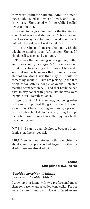they were talking about me. After the meeting, a lady asked me where I lived, and I said "nowhere." She stayed with me while I called my grandmother.

I talked to my grandmother for the first time in a couple of years, and she said she'd been praying that I was okay. She told me I could come back, but not if I drank; and I said I would try.

I left the hospital on crutches and with the telephone number of an A.A. person. She said I should call as soon as I got home.

That was the beginning of my getting better, and it was four years ago. A.A. members used to take me to meetings. The more I listened I saw that my problem was that I have a disease: alcoholism. And I saw that maybe I could do something about it  $-$  like not picking up the first drink, today. After a couple of weeks, I started meeting teenagers in A.A., and that really helped a lot; to stay sober with people like me who were trying to get it together, sober.

I go to a lot of A.A. meetings, and being sober is the most important thing in my life. If I'm not sober, I don't have anything — friends, a place to live, a high school diploma or anything to hope for. Sober now, I haven't forgotten my own birthday in four years.

MYTH: I can't be an alcoholic, because I can drink a lot. I never get sick.

**FACT:** Some of our stories in this pamphlet are about young people who had large capacities for alcohol. We are also alcoholics.

### Laura She joined A.A. at 15

#### *"I prided myself on drinking more than the older kids."*

I grew up in a home with two professional musicians for parents and a loaded wine cellar. Parties were frequent, and alcohol was offered to me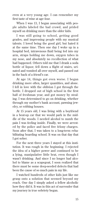even at a very young age. I can remember my first taste of wine at age four.

When I was 13, I began associating with people adults labeled the bad crowd, and prided myself on drinking more than the older kids.

I was still going to school, getting good grades, and impressing people with my musical talents. I loved being the good girl, but hated it at the same time. Then one day I woke up in a hospital bed, intravenous fluid being fed into my arm, straps holding me down, oxygen tubes in my nose, and absolutely no recollection of what had happened. Others told me that I drank a soda bottle of liquor, fell down a flight of stairs, urinated and vomited all over myself, and passed out in the back of a friend's car.

At age 14, things got even worse. I began drinking more often, larger quantities, and alone. I fell in love with the oblivion I got through the bottle. I dropped out of high school in the first half of freshman year, and got money by stealing. I was determined to go on drinking, whether through my mother's bank account, pawning jewelry, or robbing houses.

At 15 years old, I was living with a boyfriend in a beat-up car that we would park in the middle of the woods. I needed alcohol to numb the pain I was feeling inside. Finally, we were arrested by the police and faced five felony charges. Soon after that, I was taken to a long-term rehabilitating boarding school. It was on that day that I got sober.

For the next three years I stayed at this institution. It was rough in the beginning. I rejected the idea of a higher power and continued to be a lying, manipulative little brat, even though I wasn't drinking. And since I no longer had alcohol to blame as a scapegoat, I soon realized that there must be some deep-seeded defects that had been the cause of so much pain in my life.

I watched hundreds of other kids just like me grasp onto a solution that seemed beyond my reach. One day I simply asked a fellow alcoholic how they did it. It was in this act of surrender that my journey in true sobriety began.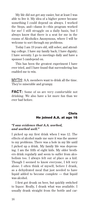My life did not get any easier, but at least I was able to live it. My idea of a higher power became something I could depend on always. I worked the Steps, and—damn it—this program worked for me! I still struggle on a daily basis, but I always know that there is a seat for me in the rooms of Alcoholics Anonymous, where I will be welcome to sort through my problems.

Today I am 19 years old, still sober, and attending college. I have my family back; I have dignity; I have serenity. I go to meetings daily and have a sponsor I candepend on.

This has been the greatest experiment I have ever tried, and I have found that surrendering has enabled me to win.

MYTH: A.A. members want to drink all the time. They're miserable and grumpy.

**FACT:** Some of us are very comfortable not drinking. We also have a lot more fun than we ever had before.

### Chris He joined A.A. at age 16

#### *"I saw evidence that A.A. worked, and worked well."*

I picked up my first drink when I was 12. The effects of alcohol made me sure it was the answer to my problems. There was a hole in my life until I picked up a drink. My family life was depressing. I am the fifth of eight kids. My older brothers drink regularly and seem to suffer from alcoholism too. I always felt out of place as a kid. Though I seemed to know everyone, I felt very alone. I often think of myself, before I drank, as a dehydrated meal that just needed to have liquid added to become complete — that liquid was alcohol.

I first got drunk on beer, but quickly switched to liquor. Really, I drank what was available. I usually drank straight from the bottle and car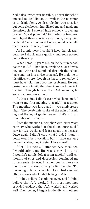ried a flask whenever possible. I never thought it unusual to steal liquor, to drink in the morning, or to drink alone. At first, alcohol was a savior, but soon alcoholism humiliated me and made my life miserable. I entered high school with average grades, "great potential," to quote my teachers, and played three sports a year. Soon, everything declined. Suicide seemed like a good idea, an ultimate escape from depression.

As I drank more, I couldn't keep that pleasant buzz; so I drank more quickly, and soon passed out or threw up.

When I was 15 years old, an incident in school got me to A.A. I had been drinking a lot of whiskey and wine and stumbled through the school halls and ran into a vice principal. He took me to his office, where, though it's hard to remember, I must have told him about my problems. He suggested to my family that they take me to an A.A. meeting. Though he wasn't an A.A. member, he knew the program worked.

At this point, I didn't care what happened. I went to my first meeting that night at a detox. The meeting was large and it was anniversary night. The celebrants spoke of the pain of drinking and the joy of getting sober. That's all I can remember of that night.

After the meeting a neighbor with eight years sobriety who worked at the detox suggested I stay for two weeks and learn about this disease. Once again I didn't care what I did. I thought detox would be a vacation, but it made me very uncomfortable; they insisted I face myself.

After I left detox, I attended A.A. meetings. I would admit my life was screwed up, but I wouldn't admit defeat from alcohol until six months of slips and depression convinced me to surrender to A.A. I remember in those six months of drinking misery telling people, "I'm too young to be an alcoholic." I also had a million other excuses why I didn't belong in A.A.

I didn't believe I could recover, and I didn't believe that A.A. worked. But more meetings provided evidence that A.A. worked and worked well. Even better, I began to identify with others'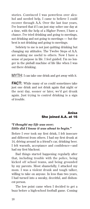stories. Convinced I was powerless over alcohol and needed help, I came to believe I could recover through A.A. Over the last four years, I've learned that if I can just stay sober one day at a time, with the help of a Higher Power, I have a chance. I've tried drinking and going to meetings, not drinking and not going to meetings — but the best is not drinking and going to meetings.

Sobriety to me is not just quitting drinking but changing my attitudes. The Twelve Steps of A.A. are making me useful to others. Now I have a sense of purpose in life. I feel guided. I'm no longer in the pinball machine of life like when I was out there drinking.

MYTH: I can take one drink and get away with it.

**FACT:** While many of us could sometimes take just one drink and not drink again that night or the next day, sooner or later, we'd get drunk again. Just trying to control drinking is a sign of trouble.

#### Anisa She joined A.A. at 16

#### *"I thought my life was over; little did I know it was about to begin."*

Before I ever took my first drink, I felt insecure and different from others. I had my first drunk at 14, driving around in a friend's car, drinking beer. I felt warmth, acceptance and confidence—and had my first blackout.

Bad things started happening regularly after that, including trouble with the police, being kicked off school teams, and being grounded by my parents. Most shamefully, I attacked my mom. I was a violent drunk and tough talker, willing to take on anyone. In less than two years, I had turned into a sneaky, deceitful, and dishonest person.

The low point came when I decided to get a buzz before a high-school football game. Coming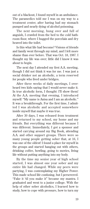out of a blackout, I found myself in an ambulance. The paramedics told me I was on my way to a treatment center, after having had my stomach pumped and nearly dying of alcohol poisoning.

The next morning, hung over and full of anguish, I crawled from the bed to the cold bathroom floor, where I hugged the porcelain and dry heaved into the toilet.

Is this what life had become? Visions of friends and family went through my mind, and I felt more shame than ever before. That was Oct. 18, 1987. I thought my life was over; little did I know it was about to begin.

The next day I attended my first A.A. meeting, though I did not think it was for me. I was just a social drinker not an alcoholic, a term reserved for people who lived under bridges.

After three weeks of daily meetings, I overheard two kids saying that I would never make it. In true alcoholic form, I thought: I'll show them! At the A.A. meeting that evening, I introduced myself: "My name is Anisa and I am an alcoholic." It was a breakthrough. For the first time, I admitted I was alcoholic and accepted somewhere inside myself that maybe it was true.

After 30 days, I was released from treatment and returned to my school, my home and my friends. But everything was different because I was different. Immediately, I got a sponsor and started carrying around my Big Book, attending A.A. and other support groups. There were so many young people getting sober that, at 16, I was one of the oldest! I found a place for myself in the groups and started hanging out with others, drinking coffee, bowling, going to movies, living life without putting anything into my body.

By the time my senior year of high school started, I was almost one year sober and my entire life had changed. While my peers were partying, I was contemplating my Higher Power. This made school life confusing, but I persevered. "Fake it 'til you make it" became my mantra. I graduated and went to a junior college. With the help of other sober alcoholics, I learned how to study, how to cope with pressure, how to turn my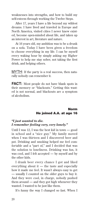weaknesses into strengths, and how to build my self-esteem through working the Twelve Steps.

After 17, years I have a life beyond my wildest dreams. I have lived and traveled in Europe and North America, visited cities I never knew existed, become open-minded about life, and taken up an interest in art, literature and nature.

At 16 years old, my ambition was to be a drunk on a sofa. Today I have been given a freedom to choose everything in my life. I can be myself every waking hour by simply asking my Higher Power to help me stay sober, not taking the first drink, and helping others.

MYTH: If the party is a real success, then naturally nobody can remember it.

**FACT:** Most people do not have blank spots in their memory or "blackouts." Getting this wasted is not normal, and blackouts are a symptom of alcoholism.

### Norm He joined A.A. at age 16

#### *"I just wanted to die. I remember feeling very, very lonely."*

Until I was 12, I was the best kid in town — good in school and a "nice guy." My family moved when I was thirteen and I discovered beer and pot. Drinking and smoking helped me feel comfortable and a "part of," and I decided that was the solution to loneliness. Drinking was fun, it was cool, and I felt accepted — by myself and by the other kids.

I drank beer every chance I got and liked everything about it  $-$  the taste and especially how it made me feel. It wasn't always easy to get — usually I counted on the older guys to buy it. And they were cool, in charge, nobody pushed them around — and they got high whenever they wanted. I wanted to be just like them.

It's funny the way I changed so fast. When I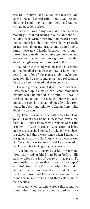was 12, I thought I'd be a cop or a teacher. One year later, all I could think about was getting older so I could buy as much beer as I wanted, with no questions asked.

Because I was hung over and shaky every morning, I started having trouble in school. I couldn't even write down my homework assignments, much less do them. My folks were really on my case about my grades and wanted me to dump these new friends, because they thought these friends made me act strange, nervous and sneaky, and caused my lousy grades. I couldn't stand the fights any more, so I just bolted.

I found a piece of sidewalk near the bus station and panhandled enough each day to keep me in beer. I had a lot of big plans: a job, maybe construction, find a room, and get a huge refrigerator for all the beer I wanted. I'd even get a girl.

These big dreams went down the tubes when I was picked up in a stolen car. I can't remember exactly what happened. One minute I was in the bus station, and the next the highway patrol pulled me over in this car, about 200 miles from home. In about one minute, I changed my mind about my parents.

My father convinced the authorities to let me go, and I went back home. I knew that I was a real mess, but I didn't know why. Drinking wasn't the problem — I was. Because I was scared of being on the street again, I stopped drinking. I went back to school, and there were times when I thought I was going crazy — I didn't know what I was scared of. Everything was too much, and I just wanted to die. I remember feeling very, very lonely.

I got invited to a party by a kid my parents liked, the kind of kid I had been before. His parents allowed a lot of booze at that party. I'd been feeling so rotten that I thought "a couple" wouldn't hurt. They'd only help. They did. I laughed, danced and asked a girl out. She and I got real close, and I became a new man. Her friends were my friends, and they asked me to their parties.

We drank when parents weren't there, and we drank when they were. Nobody cared — if we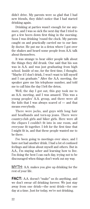didn't drive. My parents were so glad that I had new friends, they didn't notice that I had started drinking again.

Drinking at parties wasn't enough for me anymore, and I was so sick the next day that I tried to get a few beers down first thing in the morning. Soon I was drinking 'round the clock. My parents caught on and practically carried me to our family doctor. He put me in a detox where I got over the shakes and heard some people from A.A. talk about themselves.

It was strange to hear older people talk about the things they did drunk. One said that his son was in A.A. and was just graduating from high school. Inside of me, for the first time, I thought, "Maybe if I don't drink, I won't want to kill myself and I can graduate." After the A.A. meeting, the speaker gave me his telephone number, and told me to call him the day I left the detox.

Well, the day I got out, this guy took me to an A.A. meeting, and I was amazed. This was a young peoples' A.A. group, and there were all the kids that I was always scared of — and that means everybody.

There were jocks, and guys with long hair and headbands and torn-up jeans. There were country-club girls and biker girls. Here were all the cliques I couldn't fit into in one room, and everyone fit together. I felt for the first time that I might fit in, and that these people wanted me to be there.

I've been going to meetings ever since, and I have not had another drink. I had a lot of confused feelings and ideas about myself and others. But in A.A., I'm staying sober and learning how to live. I'm doing the best I can each day, trying not to be discouraged when things don't work out my way.

MYTH: A.A. makes you give up drinking for the rest of your life.

**FACT:** A.A. doesn't "make" us do anything, and we don't swear off drinking forever. We just stay away from one drink—the next drink—for one day at a time. Just for today, we're not drinking.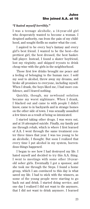#### *"I hated myself terribly."*

I was a teenage alcoholic, a 14-year-old girl who desperately wanted to become a woman. I despised authority, ran from the pain of my childhood, and sought thrills no matter what the cost.

I aspired to be every boy's fantasy and every girl's best friend. I wanted to be the best—the prettiest girl, the best dressed, the best basketball player. Instead, I found a skater boyfriend, lost my virginity, and skipped tryouts to drink cheap wine with the girls in the neighborhood.

Those first few drinks brought me peace and a feeling of belonging to the human race. I sold my soul to alcohol, threw away my dreams, and broke all promises to everyone, including myself. When I drank, the boys liked me, I had more confidence, and I feared nothing.

Quickly, though, my newfound solution became my worst nightmare. When I drank, I blacked out and came to with people I didn't know, came to in backyards and in strange homes on the other side of town. I was sexually assaulted a few times as a result of being so intoxicated.

I started taking other drugs. I was worn out, and at 16 attempted suicide. Finally, my family put me through rehab, which is where I first learned of A.A. I went through the same treatment center three times that year. I was too young to be an alcoholic, I thought. But soon I realized that every time I put alcohol in my system, horrendous things happened.

I began to see how I had destroyed my life. I hated myself and decided to try this A.A. thing. I went to meetings with some other 16-yearold sober girls. Eventually I got a sponsor, and she took me through the Steps. I found a home group, which I am convinced to this day is what saved my life. I had to stick with the winners, as some of the young people were starting to go back out and drink. I started doing service, and one day I realized I did not want to die anymore, that I did not want to drink anymore. I learned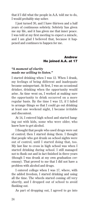that if I did what the people in A.A. told me to do, I would probably stay sober.

I just turned 30, and I have thirteen and a half years of continuous sobriety. Sobriety has given me my life, and it has given me that inner peace. I was told at my first meeting to expect a miracle, and I am glad I believed that, because it happened and continues to happen for me.

#### Andrew He joined A.A. at 17

#### *"A moment of clarity made me willing to listen."*

I started drinking when I was 12. When I drank, my feelings of being different and inadequate became unimportant. At first, I was an occasional drinker, drinking when the opportunity would arise. As time went on, I worked at making sure the opportunity to drink occurred on a more regular basis. By the time I was 13, if I failed to arrange things so that I could go out drinking at least one weekend night, I became irritable and discontent.

At 14, I entered high school and started hanging out with kids, some who were older, who knew how to get alcohol.

I thought that people who used drugs were out of control; then I started doing them. I thought that people who got drunk on school nights were out of control, until I started doing that, too. My last line to cross in high school was when I started drinking during school. I still managed not to flunk out and in fact finished in three years (though I was drunk at my own graduation ceremony). That proved to me that I did not have a problem with alcohol and drugs.

I entered college when I was 17, where, with the added freedom, I started drinking and using all the time. The wheels started coming off very shortly, and I dropped out of school to avoid flunking out.

As part of dropping out, I agreed to go into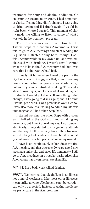treatment for drug and alcohol addiction. On entering the treatment program, I had a moment of clarity. If something didn't change, I was going to drink again; and if I drank again, I would be right back where I started. This moment of clarity made me willing to listen to some of what I was told in the treatment program.

The program was an introduction to the Twelve Steps of Alcoholics Anonymous. I was told to go to A.A. meetings and start reading the Big Book. I started doing both, though I still felt uncomfortable in my own skin, and was still obsessed with drinking. I wasn't sure I wanted what the folks in the A.A. meetings had, but I was sure that I didn't want what I had.

It finally hit home when I read the part in the Big Book where it suggests that, if you have any doubt about whether you are an alcoholic, go out and try some controlled drinking. This sent a shiver down my spine. I knew what would happen if I drank: I would get drunk. If something didn't change, I was going to drink again; and if I drank, I would get drunk. I was powerless over alcohol. I was also more than willing to admit my life was unmanageable. I had taken Step One.

I started working the other Steps with a sponsor. I balked at the God stuff and at taking my inventory, but I went ahead anyway. I was desperate. Slowly, things started to change in my attitude and the way I felt on a daily basis. The obsession with drinking took a while to leave, but it eventually went away. I started participating in my own life.

I have been continuously sober since my first A.A. meeting, and that was over 20 years ago. I now teach at a university and enjoy life immensely. I still go to A.A. meetings on a regular basis. Alcoholics Anonymous has given me an excellent life.

MYTH: I'm a bad, weak-willed drinker.

**FACT:** We learned that alcoholism is an illness, not a moral weakness. Like most other illnesses, it can strike anyone. Alcoholism can't be cured; it can only be arrested. Instead of taking medicine, we participate in the A.A. program.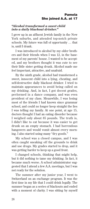#### *"Alcohol transformed a sweet child into a daily blackout drinker."*

I grew up in an affluent Jewish family in the New York suburbs, and attended top-notch private schools. My future was full of opportunity … that is, until I drank.

I was introduced to alcohol by my older brothers and their friends when I was 12, in the basement of my parents' house. I wanted to be accepted, and my brothers thought it was cute to see their little sister getting drunk. Alcohol made me feel important, attractive, and unafraid.

By the ninth grade, alcohol had transformed a sweet, innocent child into a lying, cheating, and self-destructive daily blackout drinker. I tried to maintain appearances to avoid being called on my drinking. And, in fact, I got decent grades, performed in a dance company, and was even president of my class. Meanwhile, I was losing most of the friends I had known since grammar school, and could no longer keep straight the lies I was telling my family. At one point, at age 15, doctors thought I had an eating disorder because I weighed only about 85 pounds. The truth is, I didn't like to eat because it was easier to get drunk on an empty stomach. I had horrendous hangovers and would vomit almost every morning. I also started using many "dry goods."

My school was a closed campus, and I was often caught sneaking off the grounds to drink and use drugs. My grades started to drop, and it was getting harder to keep up a good front.

I changed schools, thinking that might help, but it did nothing to tame my drinking. In fact, it became much worse. A school administrator suggested that I attend a few A.A. meetings, but I was not ready for the solution.

The summer after my junior year, I went to Switzerland on an exchange program. It was the first time in my life that I could drink legally. The summer began as a series of blackouts and ended with a moment of clarity. I was sitting by myself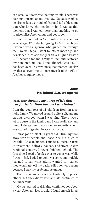in a small outdoor café, getting drunk. There was nothing unusual about this day. No catastrophes, no sirens, just a girl full of fear and full of desperation who knew she needed help. It was at that moment that I wanted more than anything to go to Alcoholics Anonymous and get sober.

Back at school in September in my senior year at age 17, I started going to A.A. meetings. I worked with a sponsor who guided me through the Twelve Steps. I went to lots of meetings and developed a relationship with a Higher Power. A.A. became for me a way of life, and restored my hope in a life that I once thought was lost. It has been over 17 years since that moment of clarity that allowed me to open myself to the gift of Alcoholics Anonymous.

# John He joined A.A. at age 18

#### *"A.A. was showing me a way of life that was far better than the one I was living."*

I am the youngest of 11 children from an alcoholic family. We moved around quite a bit, and my parents divorced when I was nine. There was a lot of abuse in the family, and I was really shy and timid. I always ran to my mom for security when I was scared of getting beaten by my dad.

I first got drunk at 11 years old. Drinking took away fear of people and insecurity, but it led to trouble. As a teenager, I made numerous trips to treatment, halfway houses, and juvenile correctional centers. I never finished school. The first time I read a book cover to cover was while I was in jail. I tried to con everyone, and quickly learned to say what adults wanted to hear so they would get off my back. Still, I felt very alone because I saw my problems as unique.

There were some periods of sobriety to please others, but they didn't last, and life continued to be unbearable.

My last period of drinking continued for about a year. After my last drunk, I found myself in jail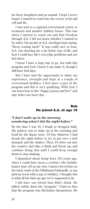for three burglaries and an assault. I hope I never forget; I wanted to crawl into the corner of the jail cell and die.

I was sent to a regional correctional center, to treatment and another halfway house. This was when I started to reach out and find freedom through A.A. I did not know whether I wanted to be sober, but people at A.A. meetings kept saying, "Keep coming back!" It was really nice to hear. A.A. was showing me a far better way of life, and how I could face life's everyday problems and not feel alone.

I know I have a long way to go, but with this program and God, I know I can make it, though I still have bad days.

But I have had the opportunity to share my experience, strength and hope at a couple of correctional facilities. I feel more a part of the program and this is very gratifying. With God, I can learn how to live "happy, joyous and free" and stay sober one more day.

## Bob He joined A.A. at age 18

#### *"I don't wake up in the morning wondering what I did the night before."*

By the time I was 18, I drank or drugged daily. My pattern was to wake up in the morning and head for the liquor store. I'd buy whatever I had drunk the night before to try to get over a sick stomach and the shakes. Then, I'd drive out into the country and take a drink and throw up, and continue doing that until I could keep enough down to stop shaking.

I fantasized about being born 150 years ago, when I could have been a cowboy—the buffalohunter type, off on my own. I spent a lot of time on the back roads of the Oklahoma Panhandle, in my pick-up truck with a jug of whiskey. I thought this is what all the kids my age we're supposed to do.

I did have one friend that didn't drink. He talked subtly about his "program." I had no idea that the program was Alcoholics Anonymous. He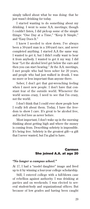simply talked about what he was doing: that he just wasn't drinking for today.

I started wanting to do something about my drinking. I went to some A.A. meetings; though I couldn't listen, I did pick-up some of the simple things: "One Day at a Time," "Keep It Simple," and "Easy Does It."

I knew I needed to slow down. I've always been a 50-yard man in a 100-yard race, and never completed anything. I started A.A the same way. I wanted to get it, but I didn't really want to hear it from anybody. I wanted to get it my way. I did hear "Let the alcohol level get below the ears and then you can start hearing." At the A.A. meetings, I met people who had been sober for 20 years, and people who had just walked in drunk. I was no more or less important than anyone there.

Sober, I don't get that gut-wrenching feeling when I meet new people. I don't have that constant fear of the outside world. Whenever the world seems crazy, I need to see that I'm crazy, not the world.

I don't think that I could ever show people how I really felt about them. Today, I have the freedom to show I care. It's great to be alcohol free, and to feel love as never before.

Most important, I don't wake up in the morning thinking about getting high and where the money is coming from. Describing sobriety is impossible. It's being free. Sobriety is the greatest gift—a gift that I never wanted, but I'm glad to have.

#### Carmen She joined A.A. at age 20

#### *"No longer a campus wheel."*

At 17, I had a "model daughter" image and lived up to it by winning a four-year college scholarship.

Still, I entered college with a full-blown case of rebellion against authority. I was drinking at parties and on weekends. I was elected to several student-body and organizational offices. But because of low grades and having been caught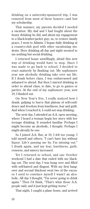drinking on a university-sponsored trip, I was removed from most of these honors—and lost my scholarship.

That summer, my parents decided I needed a vacation. My dad and I had fought about the heavy drinking he did, and about my engagement to a black-leather-jacket guy; so, to restore family peace, I went to Atlanta. I began daily drinking at a country-club pool with other vacationing students. Here drinking all day and night seemed to me nothing but social drinking.

I returned home unwillingly, afraid this new way of drinking would have to stop. Since I was made to go back to school, I decided to react maturely by flunking out. My sophomore year saw alcoholic drinking take over my life. If I drank before class, I was embarrassed and ashamed to attend. But then I started drinking in order to attend class, to date, to go to games or parties. At the end of my sophomore year, now 19, I flunked out.

On New Year's Eve, I really noticed how I drank: gulping to hurry that plateau of self-confidence and freedom from loneliness, fear and guilt. And when I reached it, I could not stop drinking.

The next day, I attended an A.A. open meeting, where I heard a woman begin her story with her teenage drinking. It sounded familiar. Perhaps I might become an alcoholic, I thought. Perhaps I might already be one.

So I joined A.A. But, at 19, I felt too young. I told myself and others, "I can't have fun without liquor. Life's passing me by. I'm missing out." I drank again, and my fear, loneliness, guilt, remorse, and misery increased.

Yet I returned to school, and one October weekend I had a date that ended with me blacking out. The next day, I was hung over and filled with self-hatred and disgust. With my first hangover and second blackout went two of the excuses I used to convince myself I wasn't an alcoholic. All day I thought, "I'm never going to drink again." Then I'd think, "That's what those A.A. people said, and it just kept getting worse."

That night, I caught a plane home, and arrived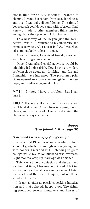just in time for an A.A. meeting. I wanted to change. I wanted freedom from fear, loneliness, and lies. I wanted self-confidence. This time, I believed self-confidence came with sobriety. I had a new attitude: if other members think I'm too young, that's their problem. I plan to stay!

This new way of life began just the week before I was 21. I returned to my university and campus activities. After a year in A.A., I was elected a student-body officer — again.

After two years, I received two degrees and acceptance to graduate school.

Once, I was afraid social activities would be inhibiting if I didn't drink. Now I have grown less self-conscious about not drinking, and fun and friendship have increased. The program's principles opened new doors for me, giving me new hope, and a fuller enjoyment of life.

MYTH: I know I have a problem. But I can beat it.

**FACT:** If you are like us, the chances are you can't beat it alone. Alcoholism is a progressive illness; and if an alcoholic keeps on drinking, the illness will always get worse.

#### Joyce She joined A.A. at age 20

#### *"I decided I was simply going crazy."*

I had a beer at 13, and wine once in while in high school. I graduated from high school young, and with honors. I married at 17, intending to go to college while my sailor husband was overseas. Eight months later, my marriage was finished.

This was a time of confusion and despair; and for the first time, I became intoxicated. I felt ten feet tall, released of all fears and tensions. I hated the smell and the taste of liquor, but oh those wonderful effects!

I drank as often as possible, seeking intoxication and that relaxed, happy glow. The drinking produced several hangovers and lapses of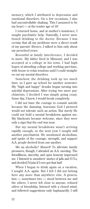memory, which I attributed to depression and emotional disorders. On a few occasions, I also had uncontrollable shaking. This I assumed to be my heart — at the tender age of 18!

I returned home, and at mother's insistence, I sought psychiatric help. Naturally, I never mentioned drinking to the doctor. Because I was certain that all my problems were a direct result of my parents' divorce, I talked to him only about my preschool years.

Resentful at family interference, I decided to move. My father lived in Missouri, and I was accepted at a college in his town. I had high hopes of attending college and working part-time, with booze to relax tensions until I could straighten out my mental disorders.

Somehow, the drinking took up too much time, so I gave up school for another semester. My "high and happy" drunks began turning into suicidal depressions. After trying two more psychiatrists, I decided I was simply going crazy. Some day, I knew, I would break completely.

I did not have the courage to commit suicide because the damning, fearsome God I pictured would not tolerate such an action. But surely He could not hold a mental breakdown against me. My blackouts became welcome, since they were only a sign that the end was near.

But my mental breakdown wasn't arriving rapidly enough, so the next year I sought still another psychiatrist. He mentioned alcoholism, and spoke of the courage, strength, and support A.A. people derived from one another.

Me an alcoholic? Absurd! To alleviate family pressures, though, I attended an A.A. meeting. The friendliness, sincerity, and open honesty impressed me. I listened to members' stories of jails and D.T.s, and decided I'd join if I ever got that bad!

When I began to drink again on a vacation, I sought A.A. again. But I felt I did not belong here any more than anywhere else. A generation — sometimes two — stood between me and the others. I never felt close to anyone, refused offers of friendship, listened with a closed mind, and followed suggestions only haphazardly. I still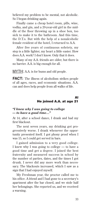believed my problem to be mental, not alcoholic. So I began drinking again.

Finally came a cheap hotel room, pills, wine, vodka, and gin, and a 20-year-old girl in the middle of the floor throwing up in a shoe box, too sick to make it to the bathroom. And this time, the D.T.s. But with the help of a nonalcoholic female resident of the hotel, I returned to A.A.

After five years of continuous sobriety, my step is a little lighter, my heart a little easier. How does A.A. work? I don't know. Only that it does.

Many of my A.A. friends are older, but there is no barrier. A.A. is big enough for all.

#### MYTH: A.A. is for bums and old people.

**FACT:** The illness of alcoholism strikes people of all ages, races, and economic situations. A.A. can and does help people from all walks of life.

#### Al He joined A.A. at age 21

#### *"I knew why I was going to college — to have a good time…"*

At 14, after a school dance, I drank and had my first blackout.

The next seven years, my drinking got progressively worse. I drank whenever the opportunity presented itself. I got phony proof when I was 15, so I could get served in bars.

I gained admission to a very good college. I knew why I was going to college — to have a good time and get a degree. I joined the best fraternity and measured success in school by the number of parties, dates, and the times I got drunk. I never did any more work than necessary. The blackouts increased, which I saw as a sign that I had enjoyed myself.

My Freshman year, the proctor called me to his office. A friend and I had gone to a secretary's apartment after the bar closed, and we stole half her belongings. She reported us, and we received a warning.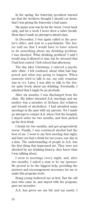In the spring, the fraternity president warned me that the brothers thought I should cut down, that I was giving the fraternity a bad name.

My junior year was by far the worst. I went back early, and for a week I never drew a sober breath. Most days I made no attempt to attend class.

In December, I was again called to the proctor's office, and sent to a psychiatrist. The doctor told me that I would have to leave school to do something about my drinking problem. I was shocked. What drinking problem? I said I would stop if allowed to stay, but he stressed that I had lost control. I left school that afternoon.

The day after Christmas, I entered a psychiatric clinic. I felt confused, about what had happened and what was going to happen. When someone tried to talk to me, my only response was to cry. Later, I was able to talk to the doctor quite freely about my drinking. Eventually, I admitted that I might be an alcoholic.

After six months, I was discharged from the clinic. My father attended A.A. meetings and my mother was a member of Al-Anon (for relatives and friends of alcoholics). I had attended many meetings in the past with my parents. Yet I made no attempt to contact A.A. when I left the hospital. I stayed sober for two months, and then picked up the first drink.

I drank for two months, and got progressively worse. Finally, I was convinced alcohol had the best of me. I went to my first meeting that night, and have not had a drink for two years, one day at a time. The understanding of people in A.A. was the first thing that impressed me. They were not shocked by my drinking history; they knew what I was talking about.

I went to meetings every night, and, after two months, I asked a man to be my sponsor. He proved to be the biggest help, providing the answers and encouragement necessary for me to make this program work.

Being young bothered me at first. But the old men who came in, and stayed with the program, gave me incentive.

A.A. has given me my life and my sanity. I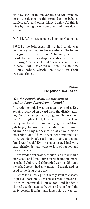am now back at the university, and will probably be on the dean's list this term. I try to balance studies, A.A., and other things I enjoy. All this is mine by staying away from one drink, one day at a time.

MYTH: A.A. means people telling me what to do.

**FACT:** To join A.A., all we had to do was decide we wanted to be members. No forms to sign. No dues to pay. "The only requirement for membership is a desire to stop drinking." We also found there are no musts in A.A. People give us suggestions on how to stay sober, which are based on their own experience.

### Brian He joined A.A. at 22

#### *"On the Fourth of July, I was graced with independence from alcohol."*

In grade school, I was an altar boy and a Boy Scout. I received an award from the district attorney for citizenship, and was generally very "uncool." In high school, I began to drink at least every weekend. I immediately got a part-time job to pay for my fun. I decided I never wanted my drinking money to be at anyone else's discretion, and I have never been unemployed since. Suddenly, after a lot of drinking and some fun, I was "cool." By my senior year, I had very cute girlfriends, and went to lots of parties and rock concerts.

My grades got worse, though, as my drinking increased, and I no longer participated in sports or school clubs. And although I worked 25 hours a week, I never had any money. I drank and/or used some drug every day.

I enrolled in college but rarely went to classes. In just a short time, I realized I would never do the work required. I left school and landed a clerical position at a bank, where I soon found the party people. It didn't take long before I was par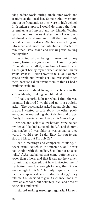tying before work, during lunch, after work, and at night at the local bar. Some nights were fun, but not as frequently as they were in high school. In drunken stupors, I would do things that hurt or embarrassed myself and my friends. Waking up (sometimes the next afternoon) I was overwhelmed with shame and guilt that could only be calmed with a drink. Alcohol was getting me into more and more bad situations. I started to think that I was insane and drinking was holding me together.

I worried about being thrown out of my house, losing my girlfriend, or losing my job. Friendships dwindled; sometimes I would be in a nice quiet bar by myself when someone I knew would walk in. I didn't want to talk. All I wanted was to drink, but I would act like I was glad to see them because I didn't want them to think I had a drinking problem.

I fantasized about living on the beach in the Virgin Islands, drinking rum till I died.

I finally sought help for what I thought was insanity. I figured I would end up in a straightjacket. The psychiatrist asked about alcohol and drugs. I wanted to talk about my other problems, but he kept asking about alcohol and drugs. Finally, he convinced me to try an A.A. meeting.

My age and lack of a low-bottom story helped my denial. I looked at people in A.A. and thought that maybe, if I was older or was as bad as they were, I would stop. I said "Easy for you to say stop drinking, but I'm only 22."

I sat in meetings and compared, thinking, "I never drank scotch in the morning, or I never had trouble with the police. See, I'm not an alcoholic." A.A.s explained that some bottoms were lower than others, and that it was not how much I drank that mattered, but how it affected me. If my bottom was low enough for me, then it was low enough for A.A. "The only requirement for membership is a desire to stop drinking," they told me. So I decided to give it a chance, not sure I was an alcoholic, but definitely "sick and tired of being sick and tired."

I started making meetings regularly. I knew I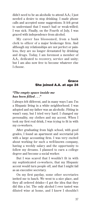didn't need to be an alcoholic to attend A.A.; I just needed a desire to stop drinking. I made phone calls and accepted some suggestions. It felt great to understand that I wasn't bad or weak-willed; I was sick. Finally, on the Fourth of July, I was graced with independence from alcohol.

My career has blossomed, from a bank clerk to officer of a major brokerage firm. And although my relationships are not perfect or painless, they are no longer devastated by drinking and drugs. Today, I am foremost a member of A.A., dedicated to recovery, service and unity; but I am also now free to become whatever else I choose.

#### Grace She joined A.A. at age 24

#### *"The empty space inside me has been filled . . ."*

I always felt different, and in many ways I am: I'm a Hispanic living in a white neighborhood. I was adopted and my father was an alcoholic. Fitting in wasn't easy, but I tried very hard. I changed my personality, my clothes and my accent. When I took my first real drink, I was trying to fit in with my co-workers.

After graduating from high school, with good grades, I found an apartment and secretarial job with a large accounting firm. I was very excited about working for such a well-known company, having a weekly salary and the opportunity to follow my dreams. I planned to earn a college degree and become a social worker.

But I was scared that I wouldn't fit in with my sophisticated co-workers, that my Hispanic accent would turn people off, and that I might fail as an executive secretary.

On my first payday, some other secretaries invited me to lunch. We went to a nice place, and they all ordered drinks—I got the idea that they did this a lot. The only alcohol I ever tasted was diluted wine at home, and I knew I shouldn't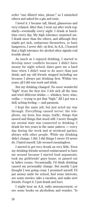order "one diluted wine, please;" so I mimicked others and asked for a gin and tonic.

I loved it. I became tall, blond, glamorous and very relaxed. After that, I went out after work regularly—eventually every night. I drank at lunchtime every day. My high tolerance surprised me. I drank more than the others, and although they might get sick, embarrass themselves, or have hangovers, I never did—at first. In A.A., I learned that a high tolerance for alcohol often signals real trouble ahead.

As much as I enjoyed drinking, I started to develop inner conflicts because I didn't have money for night school; dates gave me a hard time when I didn't want to do more than just drink; and my old friends stopped including me because I always put drinking first. Within two years, all I did was work and drink.

But my drinking changed. No more wonderful "high" from the first few. I felt sick all the time and tried different drinks — whiskey, beer, wine, vodka — trying to get that "high." All I got was a dull, aching feeling — and paranoia.

I kept the same job, but just acted my way through. Everything caused terror: the telephone, my boss, bus stops, traffic, things that moved and things that stood still. I never thought my mental state was connected to drinking. I drank for two years in the same pattern — every day during the week and at weekend parties, always with other people. While my drinking didn't change, I did. I did things I swore I'd never do. I hated myself. Life seemed meaningless.

I started to get very drunk on very little. Even my drinking friends seemed embarrassed to have me around because I started loud arguments, took my girlfriends' guys home, or passed out in ladies rooms. Occasionally, I'd think drinking caused my personality change. But mostly I just thought I was going crazy. I promised myself: I'd put money aside for school, find some interests, see some movies, take a vacation, and make new friends. Forget it. I just drank and hurt.

I might hear an A.A. radio announcement, or see some books on alcoholism and wonder, "Is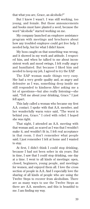that what you are, Grace, an alcoholic?"

But I knew I wasn't. I was still working, too young, and female. But those announcements and books must have planted a seed, because the word "alcoholic" started working on me.

My company launched an employee assistance program with meetings and brochures about how any troubled employee could get free help. I needed help, but for what I didn't know.

My boss caught on that something was wrong, and it showed in my work and attitude. I respected him, and when he talked to me about inconsistent work and mood swings, I felt really angry and humiliated. But because I liked him and needed to keep my job, I agreed to try the EAP.

The EAP woman made things very easy. She had a very gentle quality and, as angry and defensive as I was, something deep inside me still responded to kindness After asking me a lot of questions—but also really listening—she said, "Tell me about your drinking, Grace." I just fell apart.

This lady called a woman who became my first A.A. contact. I spoke with that A.A. member, and her wonderfully warm voice said, "The worst is behind you, Grace." I cried with relief. I hoped she was right.

That night, I attended an A.A. meeting with that woman and, as scared as I was that I wouldn't make it, and wouldn't fit in, I felt real acceptance in that room. I don't remember what people said; I just remember I felt at home and I wanted to stay.

At first, I didn't think I could stop drinking, because I had not been sober in six years. But in time, I saw that I could stop drinking, one day at a time. I went to all kinds of meetings: open, closed, beginners, young people, and meetings for women, and enjoyed them all. I love the cross section of people in A.A. And I especially love the sharing of all kinds of people who are using the Twelve Steps to recover from alcoholism. There are as many ways to use the Twelve Steps as there are A.A. members, and this is beautiful to me. I am finding my way.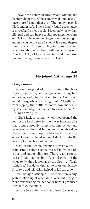I have been sober for three years. My life and feelings about myself have improved immensely. I have more friends than ever. The empty space is filled, and in A.A., I have finally found acceptance, of myself and other people. I feel really lucky I am bilingual and can help Spanish-speaking newcomers. At last, I have money to go to school at night, and in a couple of years I should have my degree in social work. It is so thrilling to make plans and be reasonably sure that I will carry them out. Entering A.A., all I really wanted to do was stop hurting. Today, I want to keep on living.

#### Jeff He joined A.A. at age 25

#### *"A safe haven . . ."*

When I stepped off the bus into the New England snow, my mother gave me a big hug and a kiss, and introduced me to her A.A. friend, an older guy, whose car we got into. Slightly stiff from sipping the bottle of booze now hidden in my weekend bag, I demanded to know where Mr. A.A. was driving me.

I didn't kick or scream when they opened the door of the local detox for me; I was too smart for that. I clung proudly to my boarding school and college education. I'd humor mom for five days of treatment, then hop the bus back to the city. When I saw the head nurse, I ducked into the lavatory for one last gulp of booze.

Most of the people drying out were older wandering through rooms dressed in white bathrobes and paper slippers. There was a toothless old man named Joe: "Alcohol gave me the wings to fly, then it took away the sky. . . ." "Yeah, right, Joe," I said, looking at the scars on his face. Checkers and television helped to kill the time.

After being discharged, I refused mom's suggested follow-up at a rehab in Vermont; my girlfriend was waiting for her sober hero. I promised to go to A.A. meetings.

On the bus ride back, I admired the jewelry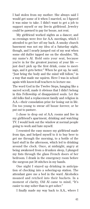I had stolen from my mother. She always said I would get some of it when I married, so I figured it was mine to take. I didn't want to get a job to support myself or my live-in girlfriend. Jewelry could be pawned to pay for booze, not rent.

My girlfriend worked nights as a dancer, and so evenings were free for A.A. meetings, which I attended to get her off my back. A smoky church basement was not my idea of a Saturday night, though, and I nearly jumped out of my seat when some old duffer tapped me on the shoulder, "Hi, my name's Al. Hold onto your seat, because you're in for the greatest journey of your life just don't pick up the first drink, come to meetings, and it gets better." When he got up, he said, "Just bring the body and the mind will follow," in a way that made me squirm. Here I was in school again with know-it-all teachers to lecture me.

The word God in the Twelve Steps, hanging like a sacred scroll, made it obvious that I didn't belong in this Fellowship of disappointed souls. Let the old folks find a replacement family and religion in A.A.—their consolation prize for losing out in life. I'm too young to swear off booze forever, or be put out to pasture.

I chose to drop out of A.A. rooms and live in my girlfriend's apartment, drinking and watching TV. I would look out the window at normal people going to work and hate myself.

I resented the easy money my girlfriend made from tips, and helped myself to it to buy beer to get me through the morning, to a bottle of the hard stuff in the afternoon, which led to drinking around the clock. Once, at midnight, angry at being awakened from a drunken sleep, I plunged my fists through the glass French doors of her bedroom. I drank in the emergency room before the surgeon put 38 stitches in my hands.

One night I stayed up drinking in anticipation of checking into a sobering-up station. The attendant gave me a bed in the ward. Alcoholics moaned and retched into their buckets. In a moment of clarity, Old Al came to mind, "It's easier to stay sober than to get sober."

I finally made my way back to A.A., where I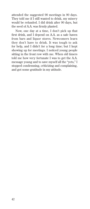attended the suggested 90 meetings in 90 days. They told me if I still wanted to drink, my misery would be refunded. I did drink after 90 days, but the seed of A.A. was firmly planted.

Now, one day at a time, I don't pick up that first drink, and I depend on A.A. as a safe haven from bars and liquor stores. Newcomers learn they don't have to drink. It was tough to ask for help, and I didn't for a long time; but I kept showing up for meetings. I noticed young people sitting in the front row with me. When old timers told me how very fortunate I was to get the A.A. message young and to save myself all the "yets," I stopped condemning, criticizing and complaining, and got some gratitude in my attitude.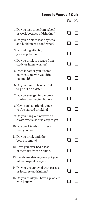# Score-it-Yourself Quiz

|                                                                         | Yes          | No |
|-------------------------------------------------------------------------|--------------|----|
| 1.Do you lose time from school<br>or work because of drinking?          |              |    |
| 2.Do you drink to lose shyness<br>and build up self conficence?         |              |    |
| 3.Is drinking affecting<br>your reputation?                             |              |    |
| 4. Do you drink to escape from<br>study or home worries?                |              |    |
| 5. Does it bother you if some<br>body says maybe you drink<br>too much? |              |    |
| 6.Do you have to take a drink<br>to go out on a date?                   |              |    |
| 7.Do you ever get into money<br>trouble over buying liquor?             |              |    |
| 8. Have you lost friends since<br>you've started drinking?              |              |    |
| 9.Do you hang out now with a<br>crowd where stuff is easy to get?       |              |    |
| 10.Do your friends drink less<br>than you do?                           |              |    |
| 11.Do you drink until the<br>bottle is empty?                           | $\mathbf{I}$ |    |
| 12. Have you ever had a loss<br>of memory from drinking?                |              |    |
| 13. Has drunk driving ever put you<br>into a hospital or a jail?        |              |    |
| 14. Do you get annoyed with classes<br>or lectures on drinking?         |              |    |
| 15.Do you think you have a problem<br>with liquor?                      |              |    |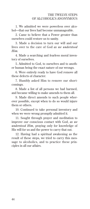1. We admitted we were powerless over alcohol—that our lives had become unmanageable.

2. Came to believe that a Power greater than ourselves could restore us to sanity.

3. Made a decision to turn our will and our lives over to the care of God *as we understood Him.*

4. Made a searching and fearless moral inventory of ourselves.

5. Admitted to God, to ourselves and to another human being the exact nature of our wrongs.

6. Were entirely ready to have God remove all these defects of character.

7. Humbly asked Him to remove our shortcomings.

8. Made a list of all persons we had harmed, and became willing to make amends to them all.

9. Made direct amends to such people wherever possible, except when to do so would injure them or others.

10. Continued to take personal inventory and when we were wrong promptly admitted it.

11. Sought through prayer and meditation to improve our conscious contact with God, *as we understood Him,* praying only for knowledge of His will for us and the power to carry that out.

12. Having had a spiritual awakening as the result of these steps, we tried to carry this message to alcoholics, and to practice these principles in all our affairs.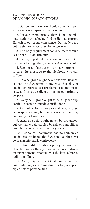#### TWELVE TRADITIONS OF ALCOHOLICS ANONYMOUS

1. Our common welfare should come first; personal recovery depends upon A.A. unity.

2. For our group purpose there is but one ultimate authority—a loving God as He may express Himself in our group conscience. Our leaders are but trusted servants; they do not govern.

3. The only requirement for A.A. membership is a desire to stop drinking.

4. Each group should be autonomous except in matters affecting other groups or A.A. as a whole.

5. Each group has but one primary purpose to carry its message to the alcoholic who still suffers.

6. An A.A. group ought never endorse, finance, or lend the A.A. name to any related facility or outside enterprise, lest problems of money, property, and prestige divert us from our primary purpose.

7. Every A.A. group ought to be fully self-supporting, declining outside contributions.

8. Alcoholics Anonymous should remain forever non-professional, but our service centers may employ special workers.

9. A.A., as such, ought never be organized; but we may create service boards or committees directly responsible to those they serve.

10. Alcoholics Anonymous has no opinion on outside issues; hence the A.A. name ought never be drawn into public controversy.

11. Our public relations policy is based on attraction rather than promotion; we need always maintain personal anonymity at the level of press, radio, and films.

12. Anonymity is the spiritual foundation of all our traditions, ever reminding us to place principles before personalities.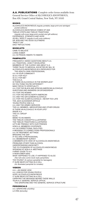#### A.A. PUBLICATIONS Complete order forms available from General Service Office of ALCOHOLICS ANONYMOUS, Box 459, Grand Central Station, New York, NY 10163

BOOKS\_\_\_\_\_\_\_\_\_\_\_\_\_\_\_\_\_\_\_\_\_\_\_\_\_\_\_\_\_\_\_\_\_\_\_\_\_\_\_\_\_\_\_\_\_\_\_\_\_\_\_\_\_\_\_\_\_\_\_ ALCOHOLICS ANONYMOUS *(regular, portable, large-print and abridged pocket editions)*  ALCOHOLICS ANONYMOUS COMES OF AGE TWELVE STEPS AND TWELVE TRADITIONS *(regular, soft-cover, large-print, pocket and gift editions)*  EXPERIENCE, STRENGTH AND HOPE AS BILL SEES IT *(regular & soft cover editions)* DR. BOB AND THE GOOD OLDTIMERS "PASS IT ON" DAILY REFLECTIONS **BOOKLETS** CAME TO BELIEVE LIVING SOBER A.A. IN PRISON: INMATE TO INMATE **MPHLETS** FREQUENTLY ASKED QUESTIONS ABOUT A.A. A.A. TRADITION—HOW IT DEVELOPED MEMBERS OF THE CLERGY ASK ABOUT A.A. THREE TALKS TO MEDICAL SOCIETIES BY BILL W. ALCOHOLICS ANONYMOUS AS A RESOURCE FOR THE HEALTH CARE PROFESSIONAL A.A. IN YOUR COMMUNITY IS A.A. FOR YOU? IS A.A. FOR ME? THIS IS A.A. IS THERE AN ALCOHOLIC IN THE WORKPLACE? DO YOU THINK YOU'RE DIFFERENT? MANY PATHS TO SPIRITUALITY A.A. FOR THE BLACK AND AFRICAN AMERICAN ALCOHOLIC QUESTIONS AND ANSWERS ON SPONSORSHIP A.A. FOR THE WOMAN A.A. FOR THE NATIVE NORTH AMERICAN A.A. AND THE GAY/LESBIAN ALCOHOLIC A.A. FOR THE OLDER ALCOHOLIC—NEVER TOO LATE THE JACK ALEXANDER ARTICLE YOUNG PEOPLE AND A.A. A.A. AND THE ARMED SERVICES THE A.A. MEMBER—MEDICATIONS AND OTHER DRUGS IS THERE AN ALCOHOLIC IN YOUR LIFE? INSIDE A.A. THE A.A. GROUP G.S.R. MEMO TO AN INMATE THE TWELVE CONCEPTS ILLUSTRATED THE TWELVE TRADITIONS ILLUSTRATED LET'S BE FRIENDLY WITH OUR FRIENDS HOW A.A. MEMBERS COOPERATE A.A. IN CORRECTIONAL FACILITIES A MESSAGE TO CORRECTIONS PROFESSIONALS A.A. IN TREATMENT SETTINGS BRIDGING THE GAP IF YOU ARE A PROFESSIONAL A.A. MEMBERSHIP SURVEY A MEMBER'S-EYE VIEW OF ALCOHOLICS ANONYMOUS PROBLEMS OTHER THAN ALCOHOL UNDERSTANDING ANONYMITY THE CO-FOUNDERS OF ALCOHOLICS ANONYMOUS SPEAKING AT NON-A.A. MEETINGS A BRIEF GUIDE TO A.A. A NEWCOMER ASKS WHAT HAPPENED TO JOE; IT HAPPENED TO ALICE *(Two full-color, comic-book style pamphlets)* TOO YOUNG? (A cartoon pamphlet for teenagers) IT SURE BEATS SITTING IN A CELL *(An Illustrated pamphlet for inmates)* VIDEOS \_\_\_\_\_\_\_\_\_\_\_\_\_\_\_\_\_\_\_\_\_\_\_\_\_\_\_\_\_\_\_\_\_\_\_\_\_\_\_\_\_\_\_\_\_\_\_\_\_\_\_\_\_\_\_\_\_\_ A.A.—AN INSIDE VIEW A.A. VIDEOS FOR YOUNG PEOPLE

HOPE: ALCOHOLICS ANONYMOUS IT SURE BEATS SITTING IN A CELL CARRYING THE MESSAGE BEHIND THESE WALLS YOUR A A. GENERAL SERVICE OFFICE THE GRAPEVINE AND THE GENERAL SERVICE STRUCTURE

#### PERIODICALS

A.A. GRAPEVINE (monthly) LA VIÑA (bimontly)